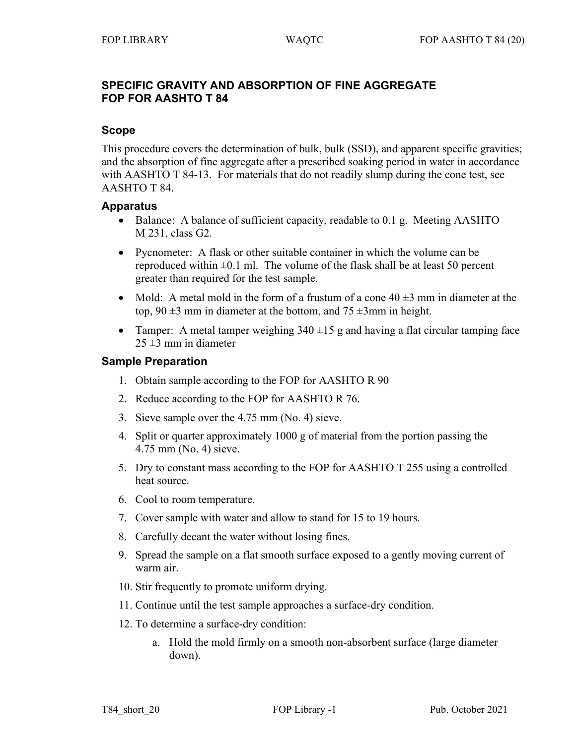## **SPECIFIC GRAVITY AND ABSORPTION OF FINE AGGREGATE FOP FOR AASHTO T 84**

### **Scope**

This procedure covers the determination of bulk, bulk (SSD), and apparent specific gravities; and the absorption of fine aggregate after a prescribed soaking period in water in accordance with AASHTO T 84-13. For materials that do not readily slump during the cone test, see AASHTO T 84.

#### **Apparatus**

- Balance: A balance of sufficient capacity, readable to 0.1 g. Meeting AASHTO M 231, class G2.
- Pycnometer: A flask or other suitable container in which the volume can be reproduced within  $\pm 0.1$  ml. The volume of the flask shall be at least 50 percent greater than required for the test sample.
- Mold: A metal mold in the form of a frustum of a cone  $40 \pm 3$  mm in diameter at the top,  $90 \pm 3$  mm in diameter at the bottom, and  $75 \pm 3$ mm in height.
- Tamper: A metal tamper weighing  $340 \pm 15$  g and having a flat circular tamping face  $25 \pm 3$  mm in diameter

#### **Sample Preparation**

- 1. Obtain sample according to the FOP for AASHTO R 90
- 2. Reduce according to the FOP for AASHTO R 76.
- 3. Sieve sample over the 4.75 mm (No. 4) sieve.
- 4. Split or quarter approximately 1000 g of material from the portion passing the 4.75 mm (No. 4) sieve.
- 5. Dry to constant mass according to the FOP for AASHTO T 255 using a controlled heat source.
- 6. Cool to room temperature.
- 7. Cover sample with water and allow to stand for 15 to 19 hours.
- 8. Carefully decant the water without losing fines.
- 9. Spread the sample on a flat smooth surface exposed to a gently moving current of warm air.
- 10. Stir frequently to promote uniform drying.
- 11. Continue until the test sample approaches a surface-dry condition.
- 12. To determine a surface-dry condition:
	- a. Hold the mold firmly on a smooth non-absorbent surface (large diameter down).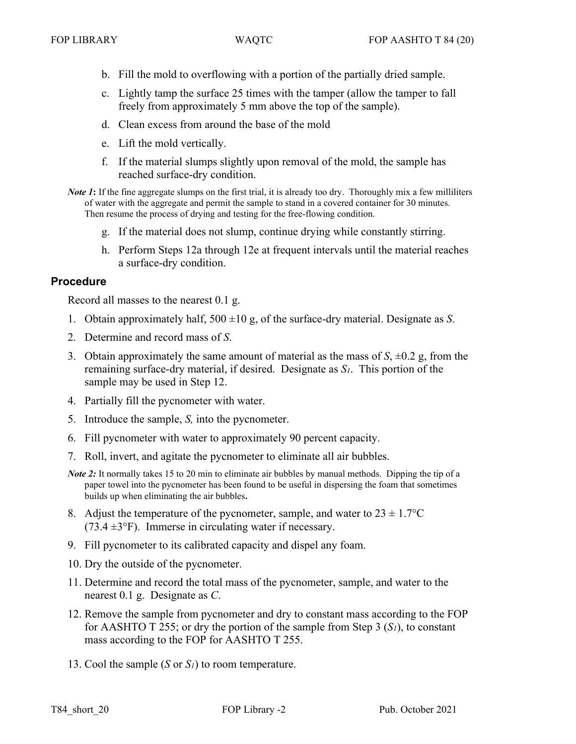- b. Fill the mold to overflowing with a portion of the partially dried sample.
- c. Lightly tamp the surface 25 times with the tamper (allow the tamper to fall freely from approximately 5 mm above the top of the sample).
- d. Clean excess from around the base of the mold
- e. Lift the mold vertically.
- f. If the material slumps slightly upon removal of the mold, the sample has reached surface-dry condition.
- *Note 1*: If the fine aggregate slumps on the first trial, it is already too dry. Thoroughly mix a few milliliters of water with the aggregate and permit the sample to stand in a covered container for 30 minutes. Then resume the process of drying and testing for the free-flowing condition.
	- g. If the material does not slump, continue drying while constantly stirring.
	- h. Perform Steps 12a through 12e at frequent intervals until the material reaches a surface-dry condition.

#### **Procedure**

Record all masses to the nearest 0.1 g.

- 1. Obtain approximately half, 500 ±10 g, of the surface-dry material. Designate as *S*.
- 2. Determine and record mass of *S*.
- 3. Obtain approximately the same amount of material as the mass of  $S$ ,  $\pm 0.2$  g, from the remaining surface-dry material, if desired. Designate as *S1*. This portion of the sample may be used in Step 12.
- 4. Partially fill the pycnometer with water.
- 5. Introduce the sample, *S,* into the pycnometer.
- 6. Fill pycnometer with water to approximately 90 percent capacity.
- 7. Roll, invert, and agitate the pycnometer to eliminate all air bubbles.
- *Note 2*: It normally takes 15 to 20 min to eliminate air bubbles by manual methods. Dipping the tip of a paper towel into the pycnometer has been found to be useful in dispersing the foam that sometimes builds up when eliminating the air bubbles.
- 8. Adjust the temperature of the pycnometer, sample, and water to  $23 \pm 1.7$ °C (73.4  $\pm$ 3°F). Immerse in circulating water if necessary.
- 9. Fill pycnometer to its calibrated capacity and dispel any foam.
- 10. Dry the outside of the pycnometer.
- 11. Determine and record the total mass of the pycnometer, sample, and water to the nearest 0.1 g. Designate as *C*.
- 12. Remove the sample from pycnometer and dry to constant mass according to the FOP for AASHTO T 255; or dry the portion of the sample from Step 3 (*S1*), to constant mass according to the FOP for AASHTO T 255.
- 13. Cool the sample (*S* or *S1*) to room temperature.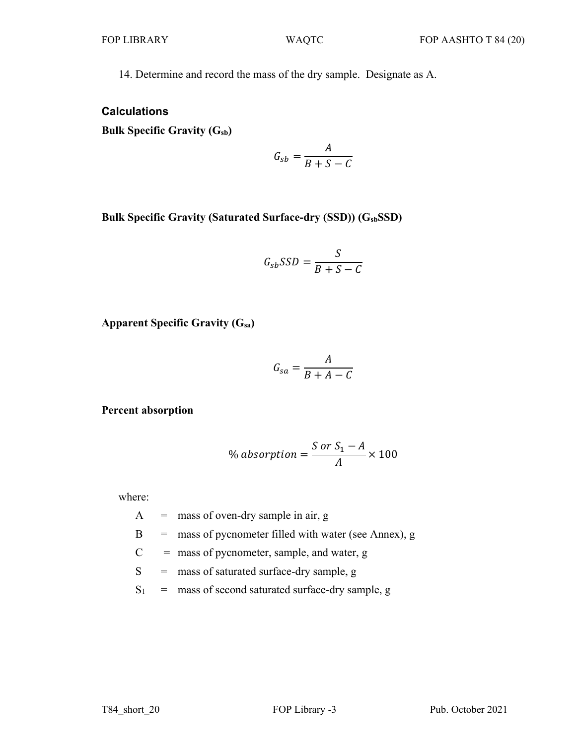14. Determine and record the mass of the dry sample. Designate as A.

### **Calculations**

**Bulk Specific Gravity (Gsb)**

$$
G_{sb} = \frac{A}{B+S-C}
$$

**Bulk Specific Gravity (Saturated Surface-dry (SSD)) (GsbSSD)**

$$
G_{sb}SSD = \frac{S}{B+S-C}
$$

**Apparent Specific Gravity (Gsa)**

$$
G_{sa} = \frac{A}{B + A - C}
$$

**Percent absorption**

% absorption = 
$$
\frac{S \text{ or } S_1 - A}{A} \times 100
$$

where:

- $A =$  mass of oven-dry sample in air, g
- $B =$  mass of pycnometer filled with water (see Annex), g
- $C =$  mass of pycnometer, sample, and water, g
- S = mass of saturated surface-dry sample, g
- $S_1$  = mass of second saturated surface-dry sample, g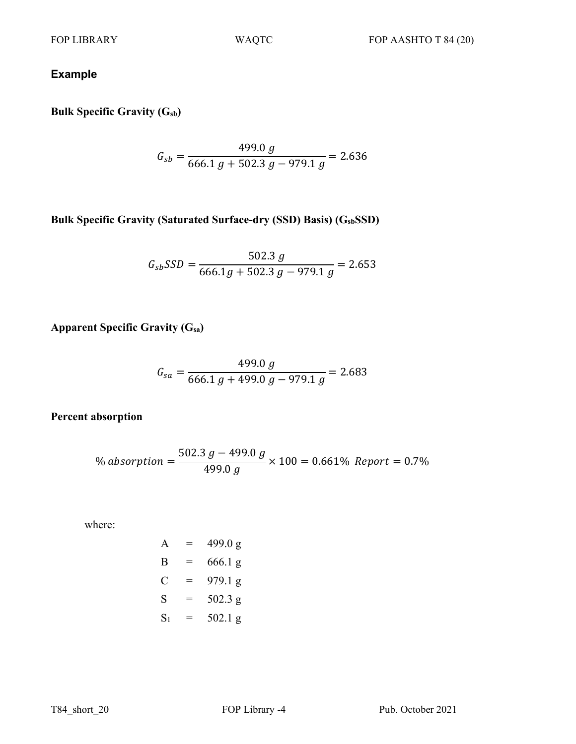# **Example**

**Bulk Specific Gravity (Gsb)**

$$
G_{sb} = \frac{499.0 \ g}{666.1 \ g + 502.3 \ g - 979.1 \ g} = 2.636
$$

**Bulk Specific Gravity (Saturated Surface-dry (SSD) Basis) (GsbSSD)**

$$
G_{sb}SSD = \frac{502.3 \ g}{666.1g + 502.3 \ g - 979.1 \ g} = 2.653
$$

**Apparent Specific Gravity (Gsa)**

$$
G_{sa} = \frac{499.0 \ g}{666.1 \ g + 499.0 \ g - 979.1 \ g} = 2.683
$$

**Percent absorption**

% absorption = 
$$
\frac{502.3 \ g - 499.0 \ g}{499.0 \ g} \times 100 = 0.661\% \ Report = 0.7\%
$$

where:

$$
A = 499.0 g
$$
  
\n
$$
B = 666.1 g
$$
  
\n
$$
C = 979.1 g
$$
  
\n
$$
S = 502.3 g
$$
  
\n
$$
S_1 = 502.1 g
$$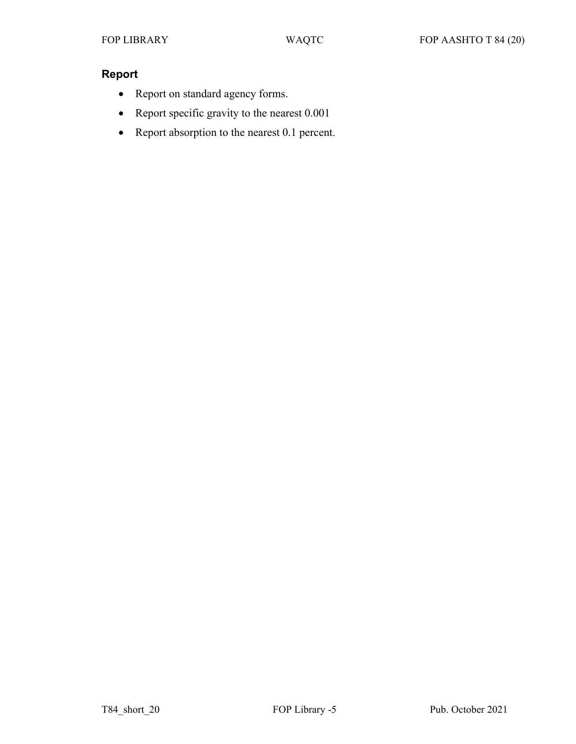## **Report**

- Report on standard agency forms.
- Report specific gravity to the nearest 0.001
- Report absorption to the nearest 0.1 percent.